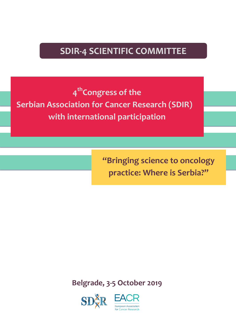## **SDIR-4 SCIENTIFIC COMMITTEE**

**4thCongress of the Serbian Association for Cancer Research (SDIR) with international participation**

> **"Bringing science to oncology practice: Where is Serbia?"**

**Belgrade, 3-5 October 2019**